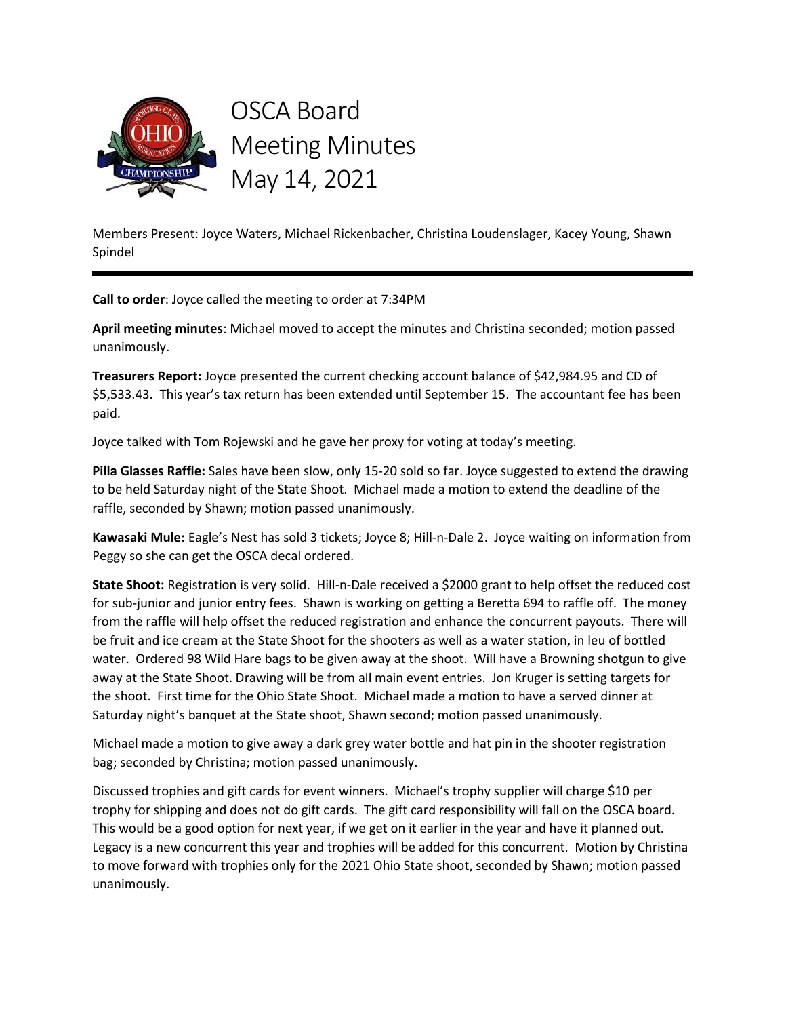

Members Present: Joyce Waters, Michael Rickenbacher, Christina Loudenslager, Kacey Young, Shawn Spindel

Call to order: Joyce called the meeting to order at 7:34PM

April meeting minutes: Michael moved to accept the minutes and Christina seconded; motion passed unanimously.

Treasurers Report: Joyce presented the current checking account balance of \$42,984.95 and CD of \$5,533.43. This year's tax return has been extended until September 15. The accountant fee has been paid.

Joyce talked with Tom Rojewski and he gave her proxy for voting at today's meeting.

Pilla Glasses Raffle: Sales have been slow, only 15-20 sold so far. Joyce suggested to extend the drawing to be held Saturday night of the State Shoot. Michael made a motion to extend the deadline of the raffle, seconded by Shawn; motion passed unanimously.

Kawasaki Mule: Eagle's Nest has sold 3 tickets; Joyce 8; Hill-n-Dale 2. Joyce waiting on information from Peggy so she can get the OSCA decal ordered.

State Shoot: Registration is very solid. Hill-n-Dale received a \$2000 grant to help offset the reduced cost for sub-junior and junior entry fees. Shawn is working on getting a Beretta 694 to raffle off. The money from the raffle will help offset the reduced registration and enhance the concurrent payouts. There will be fruit and ice cream at the State Shoot for the shooters as well as a water station, in leu of bottled water. Ordered 98 Wild Hare bags to be given away at the shoot. Will have a Browning shotgun to give away at the State Shoot. Drawing will be from all main event entries. Jon Kruger is setting targets for the shoot. First time for the Ohio State Shoot. Michael made a motion to have a served dinner at Saturday night's banquet at the State shoot, Shawn second; motion passed unanimously.

Michael made a motion to give away a dark grey water bottle and hat pin in the shooter registration bag; seconded by Christina; motion passed unanimously.

Discussed trophies and gift cards for event winners. Michael's trophy supplier will charge \$10 per trophy for shipping and does not do gift cards. The gift card responsibility will fall on the OSCA board. This would be a good option for next year, if we get on it earlier in the year and have it planned out. Legacy is a new concurrent this year and trophies will be added for this concurrent. Motion by Christina to move forward with trophies only for the 2021 Ohio State shoot, seconded by Shawn; motion passed unanimously.